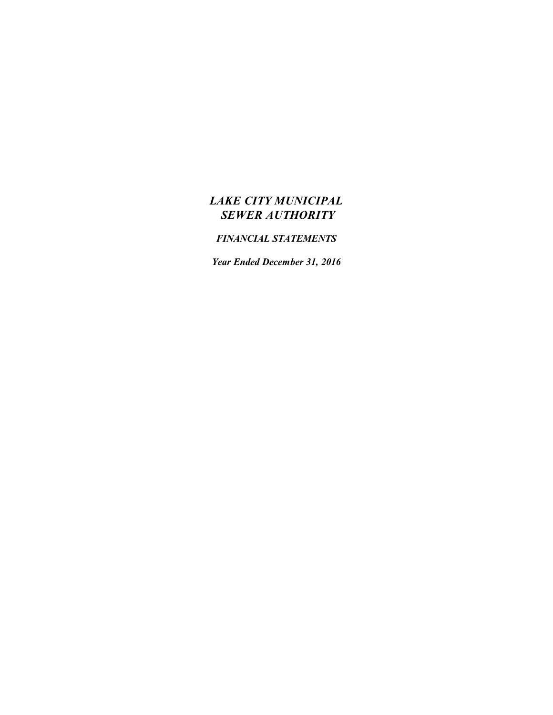# *LAKE CITY MUNICIPAL SEWER AUTHORITY*

# *FINANCIAL STATEMENTS*

*Year Ended December 31, 2016*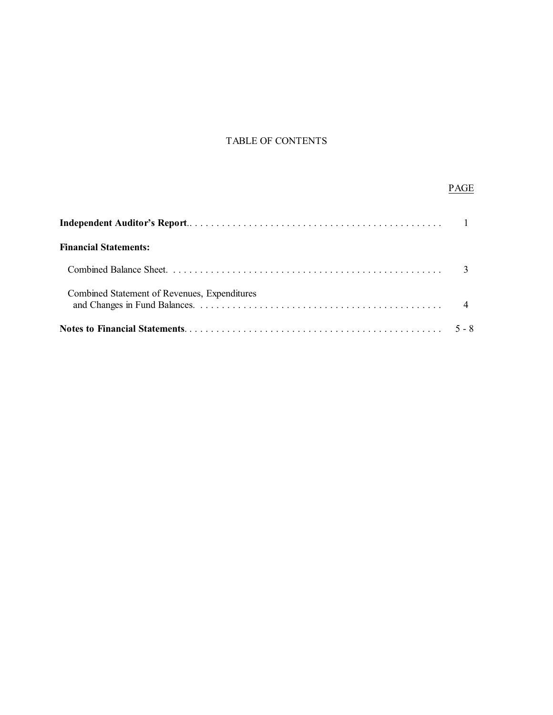## TABLE OF CONTENTS

## PAGE

| <b>Financial Statements:</b>                 |         |
|----------------------------------------------|---------|
|                                              |         |
| Combined Statement of Revenues, Expenditures |         |
|                                              | $5 - 8$ |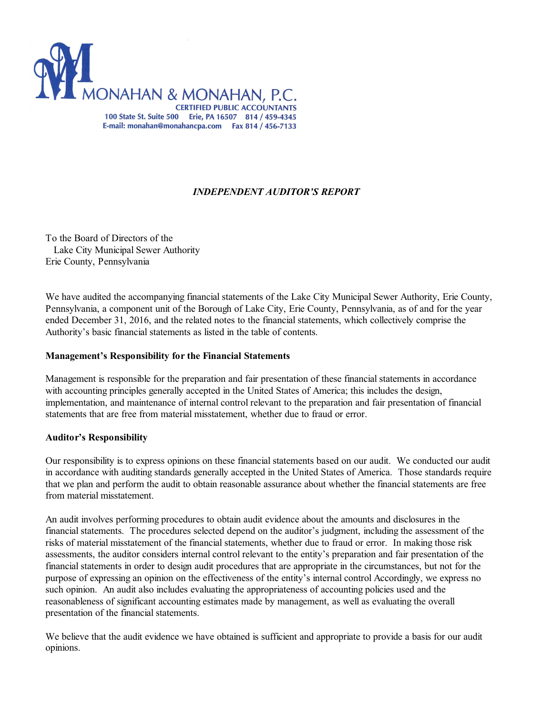

### *INDEPENDENT AUDITOR'S REPORT*

To the Board of Directors of the Lake City Municipal Sewer Authority Erie County, Pennsylvania

We have audited the accompanying financial statements of the Lake City Municipal Sewer Authority, Erie County, Pennsylvania, a component unit of the Borough of Lake City, Erie County, Pennsylvania, as of and for the year ended December 31, 2016, and the related notes to the financial statements, which collectively comprise the Authority's basic financial statements as listed in the table of contents.

#### **Management's Responsibility for the Financial Statements**

Management is responsible for the preparation and fair presentation of these financial statements in accordance with accounting principles generally accepted in the United States of America; this includes the design, implementation, and maintenance of internal control relevant to the preparation and fair presentation of financial statements that are free from material misstatement, whether due to fraud or error.

#### **Auditor's Responsibility**

Our responsibility is to express opinions on these financial statements based on our audit. We conducted our audit in accordance with auditing standards generally accepted in the United States of America. Those standards require that we plan and perform the audit to obtain reasonable assurance about whether the financial statements are free from material misstatement.

An audit involves performing procedures to obtain audit evidence about the amounts and disclosures in the financial statements. The procedures selected depend on the auditor's judgment, including the assessment of the risks of material misstatement of the financial statements, whether due to fraud or error. In making those risk assessments, the auditor considers internal control relevant to the entity's preparation and fair presentation of the financial statements in order to design audit procedures that are appropriate in the circumstances, but not for the purpose of expressing an opinion on the effectiveness of the entity's internal control Accordingly, we express no such opinion. An audit also includes evaluating the appropriateness of accounting policies used and the reasonableness of significant accounting estimates made by management, as well as evaluating the overall presentation of the financial statements.

We believe that the audit evidence we have obtained is sufficient and appropriate to provide a basis for our audit opinions.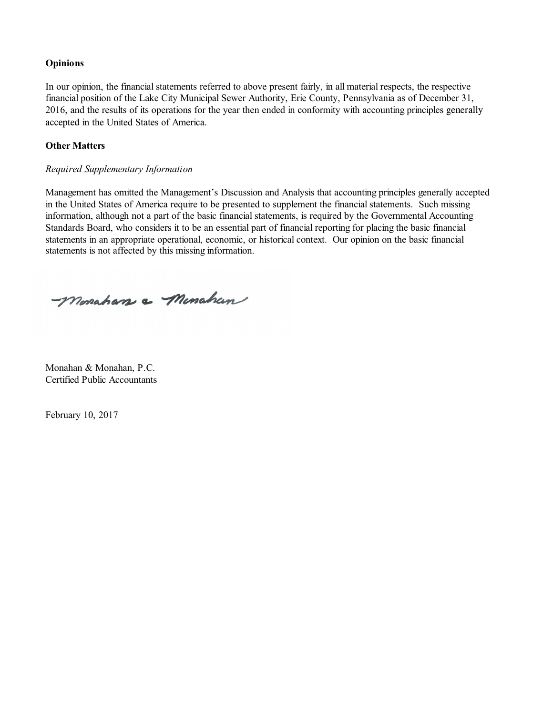#### **Opinions**

In our opinion, the financial statements referred to above present fairly, in all material respects, the respective financial position of the Lake City Municipal Sewer Authority, Erie County, Pennsylvania as of December 31, 2016, and the results of its operations for the year then ended in conformity with accounting principles generally accepted in the United States of America.

### **Other Matters**

### *Required Supplementary Information*

Management has omitted the Management's Discussion and Analysis that accounting principles generally accepted in the United States of America require to be presented to supplement the financial statements. Such missing information, although not a part of the basic financial statements, is required by the Governmental Accounting Standards Board, who considers it to be an essential part of financial reporting for placing the basic financial statements in an appropriate operational, economic, or historical context. Our opinion on the basic financial statements is not affected by this missing information.

-Monahan a Minahan

Monahan & Monahan, P.C. Certified Public Accountants

February 10, 2017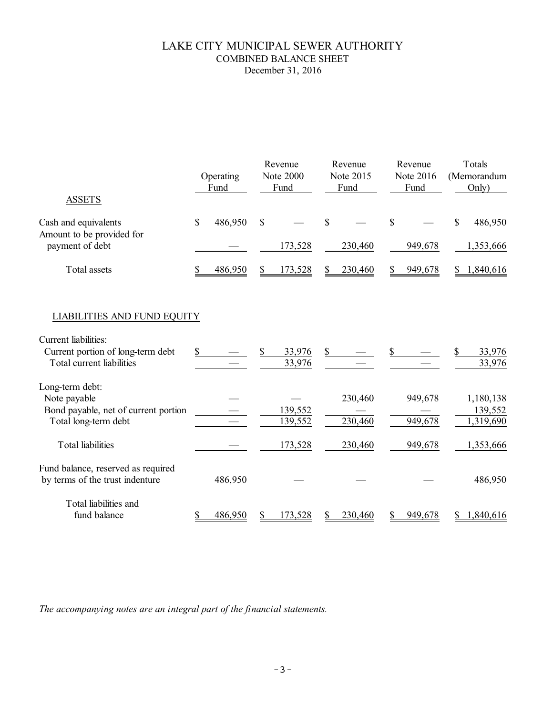### LAKE CITY MUNICIPAL SEWER AUTHORITY COMBINED BALANCE SHEET December 31, 2016

| <b>ASSETS</b>                                                                                                                |    | Operating<br>Fund |    | Revenue<br><b>Note 2000</b><br>Fund | Revenue<br>Note 2015<br>Fund |    | Revenue<br>Note 2016<br>Fund |              | Totals<br>(Memorandum<br>Only)    |
|------------------------------------------------------------------------------------------------------------------------------|----|-------------------|----|-------------------------------------|------------------------------|----|------------------------------|--------------|-----------------------------------|
| Cash and equivalents<br>Amount to be provided for<br>payment of debt                                                         | \$ | 486,950           | \$ | 173,528                             | \$<br>230,460                | \$ | 949,678                      | $\mathbb{S}$ | 486,950<br>1,353,666              |
| <b>Total</b> assets                                                                                                          |    | 486,950           | S  | 173,528                             | \$<br>230,460                | S  | 949,678                      | \$           | 1,840,616                         |
| <b>LIABILITIES AND FUND EQUITY</b><br>Current liabilities:<br>Current portion of long-term debt<br>Total current liabilities | S. |                   | S  | 33,976<br>33,976                    | \$                           |    |                              |              | 33,976<br>33,976                  |
| Long-term debt:<br>Note payable<br>Bond payable, net of current portion<br>Total long-term debt                              |    |                   |    | 139,552<br>139,552                  | 230,460<br>230,460           |    | 949,678<br>949,678           |              | 1,180,138<br>139,552<br>1,319,690 |
| <b>Total liabilities</b>                                                                                                     |    |                   |    | 173,528                             | 230,460                      |    | 949,678                      |              | 1,353,666                         |
| Fund balance, reserved as required<br>by terms of the trust indenture                                                        |    | 486,950           |    |                                     |                              |    |                              |              | 486,950                           |
| Total liabilities and<br>fund balance                                                                                        | S  | 486,950           | S  | 173,528                             | \$<br>230,460                | S  | 949,678                      | \$           | 1,840,616                         |

*The accompanying notes are an integral part of the financial statements.*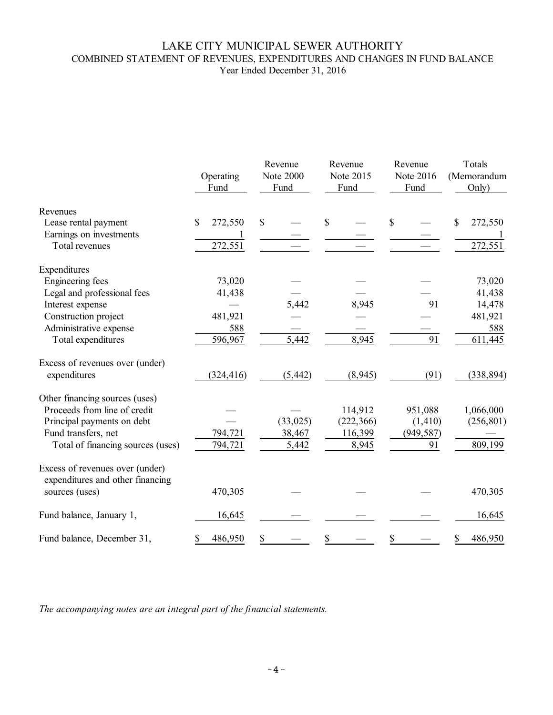### LAKE CITY MUNICIPAL SEWER AUTHORITY COMBINED STATEMENT OF REVENUES, EXPENDITURES AND CHANGES IN FUND BALANCE Year Ended December 31, 2016

|                                                                     | Operating<br>Fund       | Revenue<br><b>Note 2000</b><br>Fund | Revenue<br>Note 2015<br>Fund | Revenue<br>Note 2016<br>Fund | Totals<br>(Memorandum<br>Only) |  |
|---------------------------------------------------------------------|-------------------------|-------------------------------------|------------------------------|------------------------------|--------------------------------|--|
| Revenues                                                            | $\mathbb{S}$<br>272,550 | \$                                  | \$                           | \$                           | 272,550<br>\$                  |  |
| Lease rental payment<br>Earnings on investments                     |                         |                                     |                              |                              |                                |  |
| Total revenues                                                      | 272,551                 |                                     |                              |                              | 272,551                        |  |
| Expenditures                                                        |                         |                                     |                              |                              |                                |  |
| <b>Engineering fees</b>                                             | 73,020                  |                                     |                              |                              | 73,020                         |  |
| Legal and professional fees                                         | 41,438                  |                                     |                              |                              | 41,438                         |  |
| Interest expense                                                    |                         | 5,442                               | 8,945                        | 91                           | 14,478                         |  |
| Construction project                                                | 481,921                 |                                     |                              |                              | 481,921                        |  |
| Administrative expense                                              | 588                     |                                     |                              |                              | 588                            |  |
| Total expenditures                                                  | 596,967                 | 5,442                               | 8,945                        | 91                           | 611,445                        |  |
| Excess of revenues over (under)<br>expenditures                     | (324, 416)              | (5, 442)                            | (8,945)                      | (91)                         | (338, 894)                     |  |
| Other financing sources (uses)                                      |                         |                                     |                              |                              |                                |  |
| Proceeds from line of credit                                        |                         |                                     | 114,912                      | 951,088                      | 1,066,000                      |  |
| Principal payments on debt                                          |                         | (33, 025)                           | (222, 366)                   | (1, 410)                     | (256, 801)                     |  |
| Fund transfers, net                                                 | 794,721                 | 38,467                              | 116,399                      | (949, 587)                   |                                |  |
| Total of financing sources (uses)                                   | 794,721                 | 5,442                               | 8,945                        | 91                           | 809,199                        |  |
| Excess of revenues over (under)<br>expenditures and other financing |                         |                                     |                              |                              |                                |  |
| sources (uses)                                                      | 470,305                 |                                     |                              |                              | 470,305                        |  |
| Fund balance, January 1,                                            | 16,645                  |                                     |                              |                              | 16,645                         |  |
| Fund balance, December 31,                                          | 486,950                 |                                     |                              |                              | 486,950                        |  |

*The accompanying notes are an integral part of the financial statements.*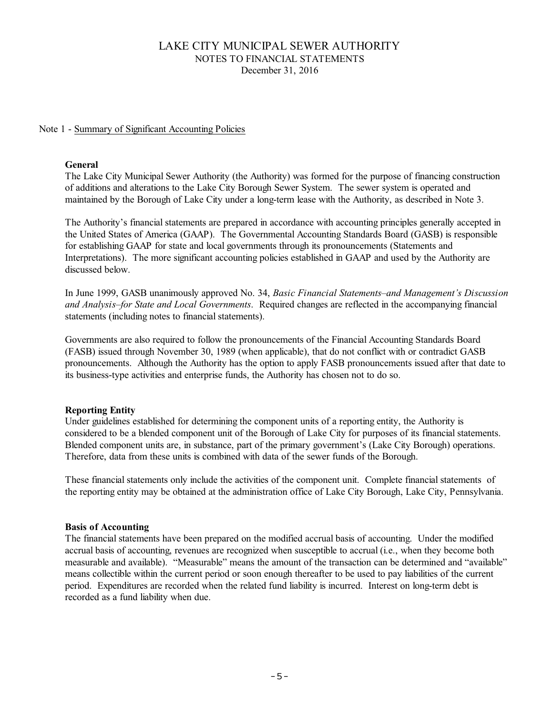### Note 1 - Summary of Significant Accounting Policies

### **General**

The Lake City Municipal Sewer Authority (the Authority) was formed for the purpose of financing construction of additions and alterations to the Lake City Borough Sewer System. The sewer system is operated and maintained by the Borough of Lake City under a long-term lease with the Authority, as described in Note 3.

The Authority's financial statements are prepared in accordance with accounting principles generally accepted in the United States of America (GAAP). The Governmental Accounting Standards Board (GASB) is responsible for establishing GAAP for state and local governments through its pronouncements (Statements and Interpretations). The more significant accounting policies established in GAAP and used by the Authority are discussed below.

In June 1999, GASB unanimously approved No. 34, *Basic Financial Statements–and Management's Discussion and Analysis–for State and Local Governments*. Required changes are reflected in the accompanying financial statements (including notes to financial statements).

Governments are also required to follow the pronouncements of the Financial Accounting Standards Board (FASB) issued through November 30, 1989 (when applicable), that do not conflict with or contradict GASB pronouncements. Although the Authority has the option to apply FASB pronouncements issued after that date to its business-type activities and enterprise funds, the Authority has chosen not to do so.

### **Reporting Entity**

Under guidelines established for determining the component units of a reporting entity, the Authority is considered to be a blended component unit of the Borough of Lake City for purposes of its financial statements. Blended component units are, in substance, part of the primary government's (Lake City Borough) operations. Therefore, data from these units is combined with data of the sewer funds of the Borough.

These financial statements only include the activities of the component unit. Complete financial statements of the reporting entity may be obtained at the administration office of Lake City Borough, Lake City, Pennsylvania.

#### **Basis of Accounting**

The financial statements have been prepared on the modified accrual basis of accounting. Under the modified accrual basis of accounting, revenues are recognized when susceptible to accrual (i.e., when they become both measurable and available). "Measurable" means the amount of the transaction can be determined and "available" means collectible within the current period or soon enough thereafter to be used to pay liabilities of the current period. Expenditures are recorded when the related fund liability is incurred. Interest on long-term debt is recorded as a fund liability when due.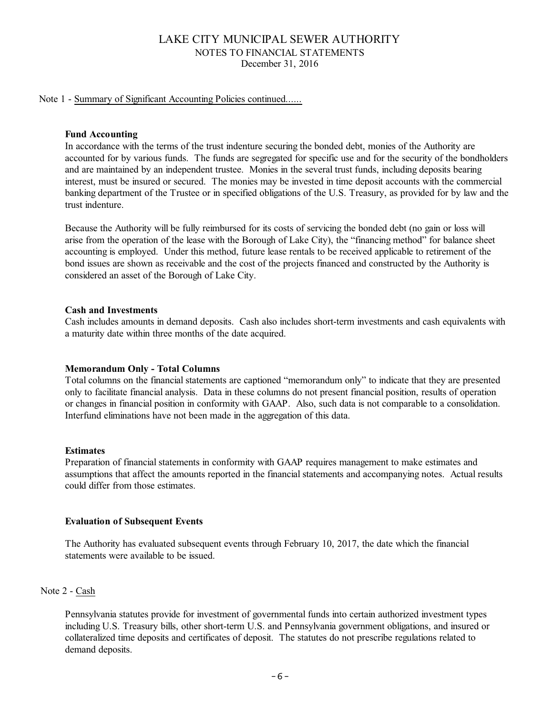### Note 1 - Summary of Significant Accounting Policies continued......

### **Fund Accounting**

In accordance with the terms of the trust indenture securing the bonded debt, monies of the Authority are accounted for by various funds. The funds are segregated for specific use and for the security of the bondholders and are maintained by an independent trustee. Monies in the several trust funds, including deposits bearing interest, must be insured or secured. The monies may be invested in time deposit accounts with the commercial banking department of the Trustee or in specified obligations of the U.S. Treasury, as provided for by law and the trust indenture.

Because the Authority will be fully reimbursed for its costs of servicing the bonded debt (no gain or loss will arise from the operation of the lease with the Borough of Lake City), the "financing method" for balance sheet accounting is employed. Under this method, future lease rentals to be received applicable to retirement of the bond issues are shown as receivable and the cost of the projects financed and constructed by the Authority is considered an asset of the Borough of Lake City.

### **Cash and Investments**

Cash includes amounts in demand deposits. Cash also includes short-term investments and cash equivalents with a maturity date within three months of the date acquired.

### **Memorandum Only - Total Columns**

Total columns on the financial statements are captioned "memorandum only" to indicate that they are presented only to facilitate financial analysis. Data in these columns do not present financial position, results of operation or changes in financial position in conformity with GAAP. Also, such data is not comparable to a consolidation. Interfund eliminations have not been made in the aggregation of this data.

#### **Estimates**

Preparation of financial statements in conformity with GAAP requires management to make estimates and assumptions that affect the amounts reported in the financial statements and accompanying notes. Actual results could differ from those estimates.

### **Evaluation of Subsequent Events**

The Authority has evaluated subsequent events through February 10, 2017, the date which the financial statements were available to be issued.

### Note 2 - Cash

Pennsylvania statutes provide for investment of governmental funds into certain authorized investment types including U.S. Treasury bills, other short-term U.S. and Pennsylvania government obligations, and insured or collateralized time deposits and certificates of deposit. The statutes do not prescribe regulations related to demand deposits.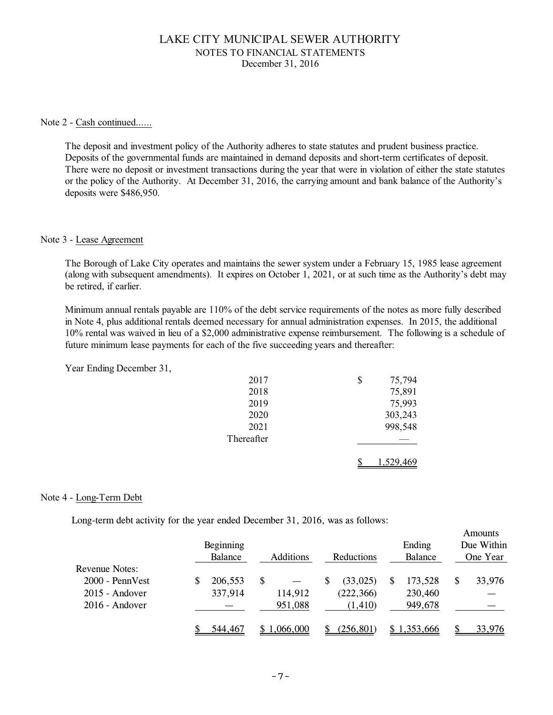#### Note 2 - Cash continued......

The deposit and investment policy of the Authority adheres to state statutes and prudent business practice. Deposits of the governmental funds are maintained in demand deposits and short-term certificates of deposit. There were no deposit or investment transactions during the year that were in violation of either the state statutes or the policy of the Authority. At December 31, 2016, the carrying amount and bank balance of the Authority's deposits were \$486,950.

#### Note 3 - Lease Agreement

The Borough of Lake City operates and maintains the sewer system under a February 15, 1985 lease agreement (along with subsequent amendments). It expires on October 1, 2021, or at such time as the Authority's debt may be retired, if earlier.

Minimum annual rentals payable are 110% of the debt service requirements of the notes as more fully described in Note 4, plus additional rentals deemed necessary for annual administration expenses. In 2015, the additional 10% rental was waived in lieu of a \$2,000 administrative expense reimbursement. The following is a schedule of future minimum lease payments for each of the five succeeding years and thereafter:

Year Ending December 31,

| 2017       | \$<br>75,794 |
|------------|--------------|
| 2018       | 75,891       |
| 2019       | 75,993       |
| 2020       | 303,243      |
| 2021       | 998,548      |
| Thereafter |              |
|            | 1,529,469    |

### Note 4 - Long-Term Debt

Long-term debt activity for the year ended December 31, 2016, was as follows:

|                       | Beginning<br>Balance | <b>Additions</b> |   | Reductions | Ending<br>Balance | Amounts<br>Due Within<br>One Year |
|-----------------------|----------------------|------------------|---|------------|-------------------|-----------------------------------|
| <b>Revenue Notes:</b> |                      |                  |   |            |                   |                                   |
| 2000 - PennVest       | 206,553              | \$               | S | (33, 025)  | 173,528           | \$<br>33,976                      |
| 2015 - Andover        | 337,914              | 114,912          |   | (222, 366) | 230,460           |                                   |
| $2016$ - Andover      |                      | 951,088          |   | (1, 410)   | 949,678           |                                   |
|                       | 544,467              | \$1,066,000      |   | (256, 801) | \$1,353,666       | 33,976                            |